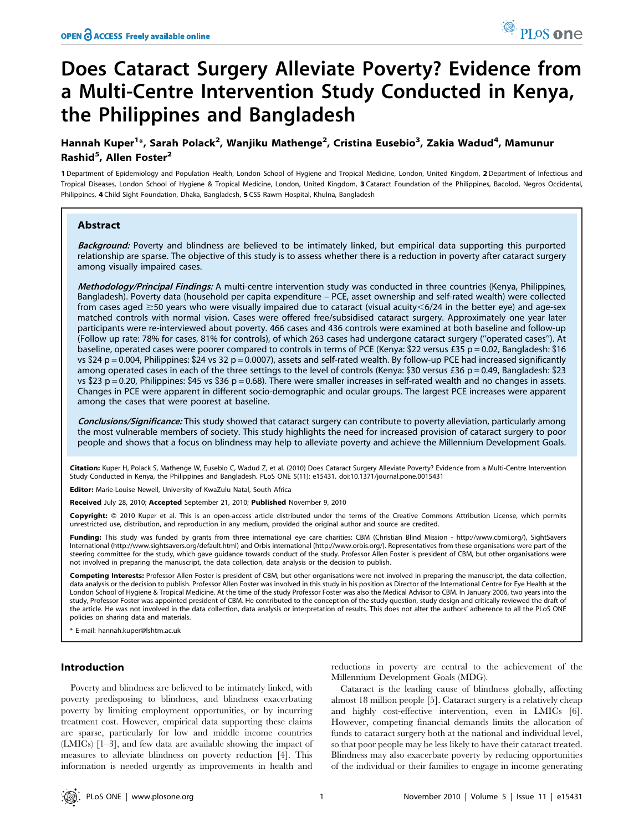# Does Cataract Surgery Alleviate Poverty? Evidence from a Multi-Centre Intervention Study Conducted in Kenya, the Philippines and Bangladesh

# Hannah Kuper<sup>1</sup>\*, Sarah Polack<sup>2</sup>, Wanjiku Mathenge<sup>2</sup>, Cristina Eusebio<sup>3</sup>, Zakia Wadud<sup>4</sup>, Mamunur Rashid<sup>5</sup>, Allen Foster<sup>2</sup>

1 Department of Epidemiology and Population Health, London School of Hygiene and Tropical Medicine, London, United Kingdom, 2 Department of Infectious and Tropical Diseases, London School of Hygiene & Tropical Medicine, London, United Kingdom, 3 Cataract Foundation of the Philippines, Bacolod, Negros Occidental, Philippines, 4 Child Sight Foundation, Dhaka, Bangladesh, 5 CSS Rawm Hospital, Khulna, Bangladesh

#### Abstract

Background: Poverty and blindness are believed to be intimately linked, but empirical data supporting this purported relationship are sparse. The objective of this study is to assess whether there is a reduction in poverty after cataract surgery among visually impaired cases.

Methodology/Principal Findings: A multi-centre intervention study was conducted in three countries (Kenya, Philippines, Bangladesh). Poverty data (household per capita expenditure – PCE, asset ownership and self-rated wealth) were collected from cases aged  $\geq$ 50 years who were visually impaired due to cataract (visual acuity $\lt$ 6/24 in the better eye) and age-sex matched controls with normal vision. Cases were offered free/subsidised cataract surgery. Approximately one year later participants were re-interviewed about poverty. 466 cases and 436 controls were examined at both baseline and follow-up (Follow up rate: 78% for cases, 81% for controls), of which 263 cases had undergone cataract surgery (''operated cases''). At baseline, operated cases were poorer compared to controls in terms of PCE (Kenya: \$22 versus £35 p = 0.02, Bangladesh: \$16 vs \$24 p = 0.004, Philippines: \$24 vs 32 p = 0.0007), assets and self-rated wealth. By follow-up PCE had increased significantly among operated cases in each of the three settings to the level of controls (Kenya: \$30 versus £36 p = 0.49, Bangladesh: \$23 vs \$23 p = 0.20, Philippines: \$45 vs \$36 p = 0.68). There were smaller increases in self-rated wealth and no changes in assets. Changes in PCE were apparent in different socio-demographic and ocular groups. The largest PCE increases were apparent among the cases that were poorest at baseline.

Conclusions/Significance: This study showed that cataract surgery can contribute to poverty alleviation, particularly among the most vulnerable members of society. This study highlights the need for increased provision of cataract surgery to poor people and shows that a focus on blindness may help to alleviate poverty and achieve the Millennium Development Goals.

Citation: Kuper H, Polack S, Mathenge W, Eusebio C, Wadud Z, et al. (2010) Does Cataract Surgery Alleviate Poverty? Evidence from a Multi-Centre Intervention Study Conducted in Kenya, the Philippines and Bangladesh. PLoS ONE 5(11): e15431. doi:10.1371/journal.pone.0015431

Editor: Marie-Louise Newell, University of KwaZulu Natal, South Africa

Received July 28, 2010; Accepted September 21, 2010; Published November 9, 2010

Copyright: © 2010 Kuper et al. This is an open-access article distributed under the terms of the Creative Commons Attribution License, which permits unrestricted use, distribution, and reproduction in any medium, provided the original author and source are credited.

Funding: This study was funded by grants from three international eye care charities: CBM (Christian Blind Mission - http://www.cbmi.org/), SightSavers International (http://www.sightsavers.org/default.html) and Orbis international (http://www.orbis.org/). Representatives from these organisations were part of the steering committee for the study, which gave guidance towards conduct of the study. Professor Allen Foster is president of CBM, but other organisations were not involved in preparing the manuscript, the data collection, data analysis or the decision to publish.

Competing Interests: Professor Allen Foster is president of CBM, but other organisations were not involved in preparing the manuscript, the data collection, data analysis or the decision to publish. Professor Allen Foster was involved in this study in his position as Director of the International Centre for Eye Health at the London School of Hygiene & Tropical Medicine. At the time of the study Professor Foster was also the Medical Advisor to CBM. In January 2006, two years into the study, Professor Foster was appointed president of CBM. He contributed to the conception of the study question, study design and critically reviewed the draft of the article. He was not involved in the data collection, data analysis or interpretation of results. This does not alter the authors' adherence to all the PLoS ONE policies on sharing data and materials.

\* E-mail: hannah.kuper@lshtm.ac.uk

#### Introduction

Poverty and blindness are believed to be intimately linked, with poverty predisposing to blindness, and blindness exacerbating poverty by limiting employment opportunities, or by incurring treatment cost. However, empirical data supporting these claims are sparse, particularly for low and middle income countries (LMICs) [1–3], and few data are available showing the impact of measures to alleviate blindness on poverty reduction [4]. This information is needed urgently as improvements in health and

reductions in poverty are central to the achievement of the Millennium Development Goals (MDG).

Cataract is the leading cause of blindness globally, affecting almost 18 million people [5]. Cataract surgery is a relatively cheap and highly cost-effective intervention, even in LMICs [6]. However, competing financial demands limits the allocation of funds to cataract surgery both at the national and individual level, so that poor people may be less likely to have their cataract treated. Blindness may also exacerbate poverty by reducing opportunities of the individual or their families to engage in income generating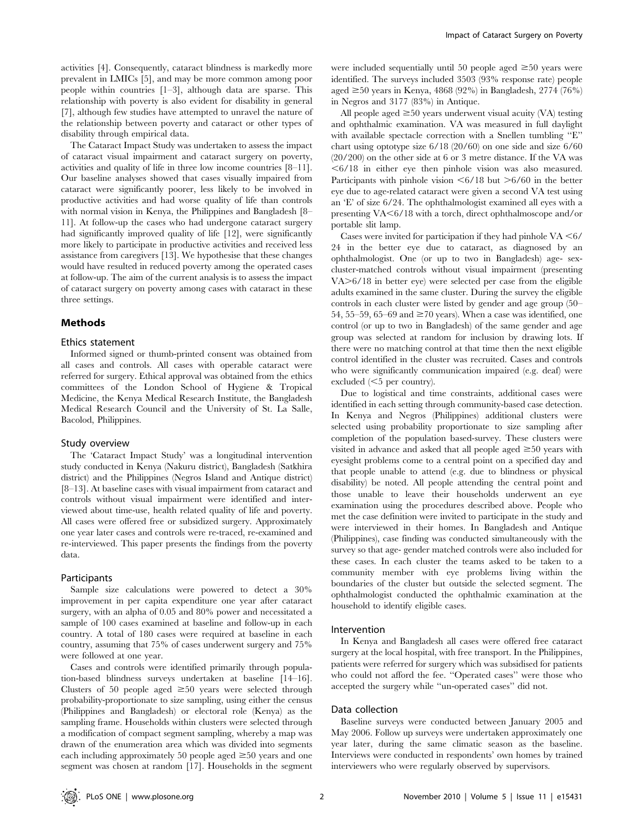activities [4]. Consequently, cataract blindness is markedly more prevalent in LMICs [5], and may be more common among poor people within countries [1–3], although data are sparse. This relationship with poverty is also evident for disability in general [7], although few studies have attempted to unravel the nature of the relationship between poverty and cataract or other types of disability through empirical data.

The Cataract Impact Study was undertaken to assess the impact of cataract visual impairment and cataract surgery on poverty, activities and quality of life in three low income countries [8–11]. Our baseline analyses showed that cases visually impaired from cataract were significantly poorer, less likely to be involved in productive activities and had worse quality of life than controls with normal vision in Kenya, the Philippines and Bangladesh [8– 11]. At follow-up the cases who had undergone cataract surgery had significantly improved quality of life [12], were significantly more likely to participate in productive activities and received less assistance from caregivers [13]. We hypothesise that these changes would have resulted in reduced poverty among the operated cases at follow-up. The aim of the current analysis is to assess the impact of cataract surgery on poverty among cases with cataract in these three settings.

#### Methods

#### Ethics statement

Informed signed or thumb-printed consent was obtained from all cases and controls. All cases with operable cataract were referred for surgery. Ethical approval was obtained from the ethics committees of the London School of Hygiene & Tropical Medicine, the Kenya Medical Research Institute, the Bangladesh Medical Research Council and the University of St. La Salle, Bacolod, Philippines.

#### Study overview

The 'Cataract Impact Study' was a longitudinal intervention study conducted in Kenya (Nakuru district), Bangladesh (Satkhira district) and the Philippines (Negros Island and Antique district) [8–13]. At baseline cases with visual impairment from cataract and controls without visual impairment were identified and interviewed about time-use, health related quality of life and poverty. All cases were offered free or subsidized surgery. Approximately one year later cases and controls were re-traced, re-examined and re-interviewed. This paper presents the findings from the poverty data.

#### Participants

Sample size calculations were powered to detect a 30% improvement in per capita expenditure one year after cataract surgery, with an alpha of 0.05 and 80% power and necessitated a sample of 100 cases examined at baseline and follow-up in each country. A total of 180 cases were required at baseline in each country, assuming that 75% of cases underwent surgery and 75% were followed at one year.

Cases and controls were identified primarily through population-based blindness surveys undertaken at baseline [14–16]. Clusters of 50 people aged  $\geq 50$  years were selected through probability-proportionate to size sampling, using either the census (Philippines and Bangladesh) or electoral role (Kenya) as the sampling frame. Households within clusters were selected through a modification of compact segment sampling, whereby a map was drawn of the enumeration area which was divided into segments each including approximately 50 people aged  $\geq$ 50 years and one segment was chosen at random [17]. Households in the segment were included sequentially until 50 people aged  $\geq$ 50 years were identified. The surveys included 3503 (93% response rate) people aged  $\geq 50$  years in Kenya, 4868 (92%) in Bangladesh, 2774 (76%) in Negros and 3177 (83%) in Antique.

All people aged  $\geq 50$  years underwent visual acuity (VA) testing and ophthalmic examination. VA was measured in full daylight with available spectacle correction with a Snellen tumbling "E" chart using optotype size 6/18 (20/60) on one side and size 6/60 (20/200) on the other side at 6 or 3 metre distance. If the VA was  $\leq 6/18$  in either eye then pinhole vision was also measured. Participants with pinhole vision  $\leq 6/18$  but  $\geq 6/60$  in the better eye due to age-related cataract were given a second VA test using an 'E' of size 6/24. The ophthalmologist examined all eyes with a presenting  $VA \leq 6/18$  with a torch, direct ophthalmoscope and/or portable slit lamp.

Cases were invited for participation if they had pinhole  $VA < 6/$ 24 in the better eye due to cataract, as diagnosed by an ophthalmologist. One (or up to two in Bangladesh) age- sexcluster-matched controls without visual impairment (presenting VA $>6/18$  in better eye) were selected per case from the eligible adults examined in the same cluster. During the survey the eligible controls in each cluster were listed by gender and age group (50– 54, 55–59, 65–69 and  $\geq$  70 years). When a case was identified, one control (or up to two in Bangladesh) of the same gender and age group was selected at random for inclusion by drawing lots. If there were no matching control at that time then the next eligible control identified in the cluster was recruited. Cases and controls who were significantly communication impaired (e.g. deaf) were excluded  $(<5$  per country).

Due to logistical and time constraints, additional cases were identified in each setting through community-based case detection. In Kenya and Negros (Philippines) additional clusters were selected using probability proportionate to size sampling after completion of the population based-survey. These clusters were visited in advance and asked that all people aged  $\geq 50$  years with eyesight problems come to a central point on a specified day and that people unable to attend (e.g. due to blindness or physical disability) be noted. All people attending the central point and those unable to leave their households underwent an eye examination using the procedures described above. People who met the case definition were invited to participate in the study and were interviewed in their homes. In Bangladesh and Antique (Philippines), case finding was conducted simultaneously with the survey so that age- gender matched controls were also included for these cases. In each cluster the teams asked to be taken to a community member with eye problems living within the boundaries of the cluster but outside the selected segment. The ophthalmologist conducted the ophthalmic examination at the household to identify eligible cases.

#### Intervention

In Kenya and Bangladesh all cases were offered free cataract surgery at the local hospital, with free transport. In the Philippines, patients were referred for surgery which was subsidised for patients who could not afford the fee. ''Operated cases'' were those who accepted the surgery while ''un-operated cases'' did not.

#### Data collection

Baseline surveys were conducted between January 2005 and May 2006. Follow up surveys were undertaken approximately one year later, during the same climatic season as the baseline. Interviews were conducted in respondents' own homes by trained interviewers who were regularly observed by supervisors.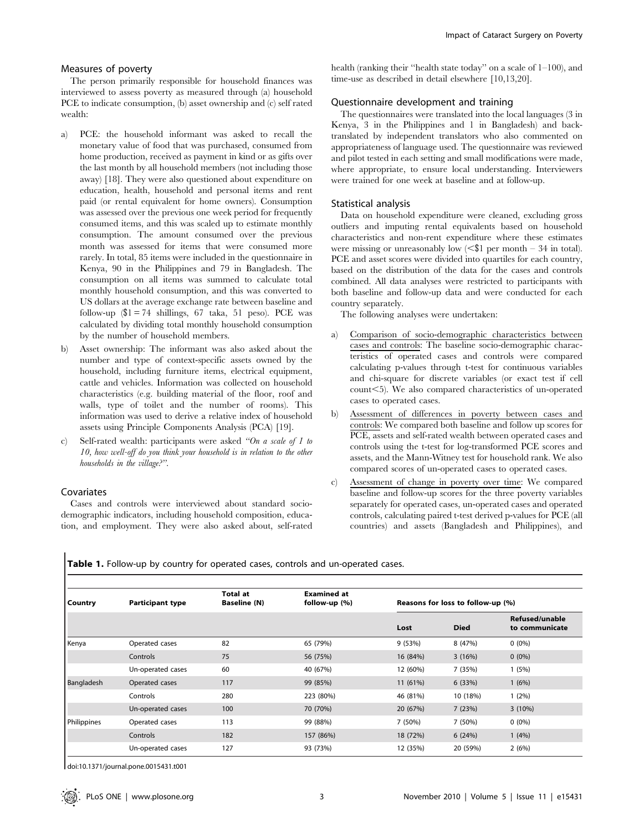#### Measures of poverty

The person primarily responsible for household finances was interviewed to assess poverty as measured through (a) household PCE to indicate consumption, (b) asset ownership and (c) self rated wealth:

- a) PCE: the household informant was asked to recall the monetary value of food that was purchased, consumed from home production, received as payment in kind or as gifts over the last month by all household members (not including those away) [18]. They were also questioned about expenditure on education, health, household and personal items and rent paid (or rental equivalent for home owners). Consumption was assessed over the previous one week period for frequently consumed items, and this was scaled up to estimate monthly consumption. The amount consumed over the previous month was assessed for items that were consumed more rarely. In total, 85 items were included in the questionnaire in Kenya, 90 in the Philippines and 79 in Bangladesh. The consumption on all items was summed to calculate total monthly household consumption, and this was converted to US dollars at the average exchange rate between baseline and follow-up  $$1 = 74$  shillings, 67 taka, 51 peso). PCE was calculated by dividing total monthly household consumption by the number of household members.
- b) Asset ownership: The informant was also asked about the number and type of context-specific assets owned by the household, including furniture items, electrical equipment, cattle and vehicles. Information was collected on household characteristics (e.g. building material of the floor, roof and walls, type of toilet and the number of rooms). This information was used to derive a relative index of household assets using Principle Components Analysis (PCA) [19].
- c) Self-rated wealth: participants were asked ''On a scale of 1 to 10, how well-off do you think your household is in relation to the other households in the village.<sup>222</sup>.

#### Covariates

Cases and controls were interviewed about standard sociodemographic indicators, including household composition, education, and employment. They were also asked about, self-rated health (ranking their ''health state today'' on a scale of 1–100), and time-use as described in detail elsewhere [10,13,20].

## Questionnaire development and training

The questionnaires were translated into the local languages (3 in Kenya, 3 in the Philippines and 1 in Bangladesh) and backtranslated by independent translators who also commented on appropriateness of language used. The questionnaire was reviewed and pilot tested in each setting and small modifications were made, where appropriate, to ensure local understanding. Interviewers were trained for one week at baseline and at follow-up.

#### Statistical analysis

Data on household expenditure were cleaned, excluding gross outliers and imputing rental equivalents based on household characteristics and non-rent expenditure where these estimates were missing or unreasonably low  $\leq$ \$1 per month – 34 in total). PCE and asset scores were divided into quartiles for each country, based on the distribution of the data for the cases and controls combined. All data analyses were restricted to participants with both baseline and follow-up data and were conducted for each country separately.

The following analyses were undertaken:

- a) Comparison of socio-demographic characteristics between cases and controls: The baseline socio-demographic characteristics of operated cases and controls were compared calculating p-values through t-test for continuous variables and chi-square for discrete variables (or exact test if cell count<5). We also compared characteristics of un-operated cases to operated cases.
- b) Assessment of differences in poverty between cases and controls: We compared both baseline and follow up scores for PCE, assets and self-rated wealth between operated cases and controls using the t-test for log-transformed PCE scores and assets, and the Mann-Witney test for household rank. We also compared scores of un-operated cases to operated cases.
- c) Assessment of change in poverty over time: We compared baseline and follow-up scores for the three poverty variables separately for operated cases, un-operated cases and operated controls, calculating paired t-test derived p-values for PCE (all countries) and assets (Bangladesh and Philippines), and

Table 1. Follow-up by country for operated cases, controls and un-operated cases.

| <b>Country</b><br>Kenya<br>Bangladesh<br>Philippines | <b>Participant type</b> | <b>Total at</b><br><b>Baseline (N)</b> | <b>Examined at</b><br>follow-up (%) |          | Reasons for loss to follow-up (%) |                                  |  |  |  |  |
|------------------------------------------------------|-------------------------|----------------------------------------|-------------------------------------|----------|-----------------------------------|----------------------------------|--|--|--|--|
|                                                      |                         |                                        |                                     | Lost     | <b>Died</b>                       | Refused/unable<br>to communicate |  |  |  |  |
|                                                      | Operated cases          | 82                                     | 65 (79%)                            | 9(53%)   | 8 (47%)                           | $0(0\%)$                         |  |  |  |  |
|                                                      | Controls                | 75                                     | 56 (75%)                            | 16 (84%) | 3(16%)                            | $0(0\%)$                         |  |  |  |  |
|                                                      | Un-operated cases       | 60                                     | 40 (67%)                            | 12 (60%) | 7 (35%)                           | 1(5%)                            |  |  |  |  |
|                                                      | Operated cases          | 117                                    | 99 (85%)                            | 11 (61%) | 6(33%)                            | 1(6%)                            |  |  |  |  |
|                                                      | Controls                | 280                                    | 223 (80%)                           | 46 (81%) | 10 (18%)                          | 1(2%)                            |  |  |  |  |
|                                                      | Un-operated cases       | 100                                    | 70 (70%)                            | 20 (67%) | 7(23%)                            | 3(10%)                           |  |  |  |  |
|                                                      | Operated cases          | 113                                    | 99 (88%)                            | 7 (50%)  | 7 (50%)                           | $0(0\%)$                         |  |  |  |  |
|                                                      | Controls                | 182                                    | 157 (86%)                           | 18 (72%) | 6(24%)                            | 1(4%)                            |  |  |  |  |
|                                                      | Un-operated cases       | 127                                    | 93 (73%)                            | 12 (35%) | 20 (59%)                          | 2(6%)                            |  |  |  |  |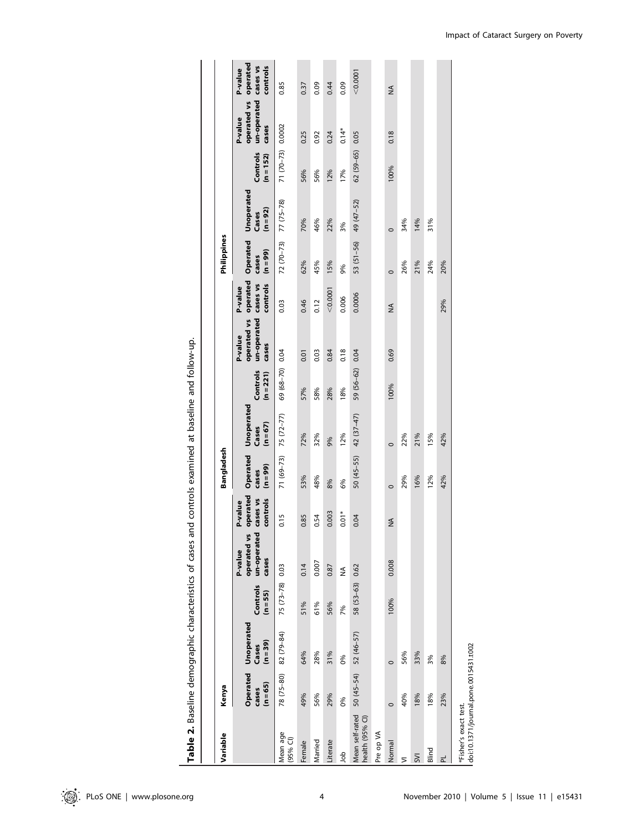Table 2. Baseline demographic characteristics of cases and controls examined at baseline and follow-up. Table 2. Baseline demographic characteristics of cases and controls examined at baseline and follow-up.

| Variable                                                       | Kenya                                  |                                   |                        |                                                |                                             | Bangladesh                      |                                   |                       |                                                |                                             | Philippines                     |                                   |                         |                                                         |                                 |
|----------------------------------------------------------------|----------------------------------------|-----------------------------------|------------------------|------------------------------------------------|---------------------------------------------|---------------------------------|-----------------------------------|-----------------------|------------------------------------------------|---------------------------------------------|---------------------------------|-----------------------------------|-------------------------|---------------------------------------------------------|---------------------------------|
|                                                                | <b>Operated</b><br>$(n = 65)$<br>cases | Unoperated<br>$(n = 39)$<br>Cases | Controls<br>$(n = 55)$ | operated vs<br>un-operated<br>P-value<br>cases | operated<br>cases vs<br>controls<br>P-value | Operated<br>$(n = 99)$<br>cases | Unoperated<br>$(n = 67)$<br>Cases | Controls<br>$(n=221)$ | un-operated<br>operated vs<br>P-value<br>cases | operated<br>cases vs<br>controls<br>P-value | Operated<br>$(n = 99)$<br>cases | Unoperated<br>$(n = 92)$<br>Cases | Controls<br>$(n = 152)$ | un-operated cases vs<br>operated vs<br>P-value<br>cases | operated<br>controls<br>P-value |
| Mean age<br>$(95%$ CI)                                         | 78 (75-80) 82 (79-84)                  |                                   | 75 (73-78) 0.03        |                                                | 0.15                                        | $71(69-73)$ 75 (72-77)          |                                   | 69 (68-70) 0.04       |                                                | 0.03                                        | $72 (70-73)$ $77 (75-78)$       |                                   | 71 (70-73) 0.0002       |                                                         | 0.85                            |
| Female                                                         | 49%                                    | 64%                               | 51%                    | 0.14                                           | 0.85                                        | 53%                             | 72%                               | 57%                   | 0.01                                           | 0.46                                        | 62%                             | 70%                               | 56%                     | 0.25                                                    | 0.37                            |
| Married                                                        | 56%                                    | 28%                               | 61%                    | 0.007                                          | 0.54                                        | 48%                             | 32%                               | 58%                   | 0.03                                           | 0.12                                        | 45%                             | 46%                               | 56%                     | 0.92                                                    | 0.09                            |
| Literate                                                       | 29%                                    | 31%                               | 56%                    | 0.87                                           | 0.003                                       | 8%                              | 9%                                | 28%                   | 0.84                                           | < 0.0001                                    | 15%                             | 22%                               | 12%                     | 0.24                                                    | 0.44                            |
| do                                                             | 0%                                     | 0%                                | 7%                     | $\frac{1}{2}$                                  | $0.01*$                                     | 6%                              | 12%                               | 18%                   | 0.18                                           | 0.006                                       | 9%                              | 3%                                | 17%                     | $0.14*$                                                 | 0.09                            |
| Mean self-rated 50 (45-54)<br>health (95% CI)                  |                                        | 52 (46-57)                        | 58 (53-63) 0.62        |                                                | 0.04                                        | $50(45-55)$ 42 (37-47)          |                                   | 59 (56-62) 0.04       |                                                | 0.0006                                      | 53 (51-56)                      | 49 (47-52)                        | 62 (59-65)              | 0.05                                                    | < 0.0001                        |
| Pre op VA                                                      |                                        |                                   |                        |                                                |                                             |                                 |                                   |                       |                                                |                                             |                                 |                                   |                         |                                                         |                                 |
| Normal                                                         | $\circ$                                | $\circ$                           | 100%                   | 0.008                                          | ≸                                           | $\circ$                         | $\circ$                           | 100%                  | 0.69                                           | ≸                                           | $\circ$                         | $\circ$                           | 100%                    | 0.18                                                    | $\frac{4}{2}$                   |
| $\overline{ }$                                                 | 40%                                    | 56%                               |                        |                                                |                                             | 29%                             | 22%                               |                       |                                                |                                             | 26%                             | 34%                               |                         |                                                         |                                 |
| $\overline{5}$                                                 | 18%                                    | 33%                               |                        |                                                |                                             | 16%                             | 21%                               |                       |                                                |                                             | 21%                             | 14%                               |                         |                                                         |                                 |
| Blind                                                          | 18%                                    | 3%                                |                        |                                                |                                             | 12%                             | 15%                               |                       |                                                |                                             | 24%                             | 31%                               |                         |                                                         |                                 |
| 군                                                              | 23%                                    | 8%                                |                        |                                                |                                             | 42%                             | 42%                               |                       |                                                | 29%                                         | 20%                             |                                   |                         |                                                         |                                 |
| doi:10.1371/journal.pone.0015431.t002<br>*Fisher's exact test. |                                        |                                   |                        |                                                |                                             |                                 |                                   |                       |                                                |                                             |                                 |                                   |                         |                                                         |                                 |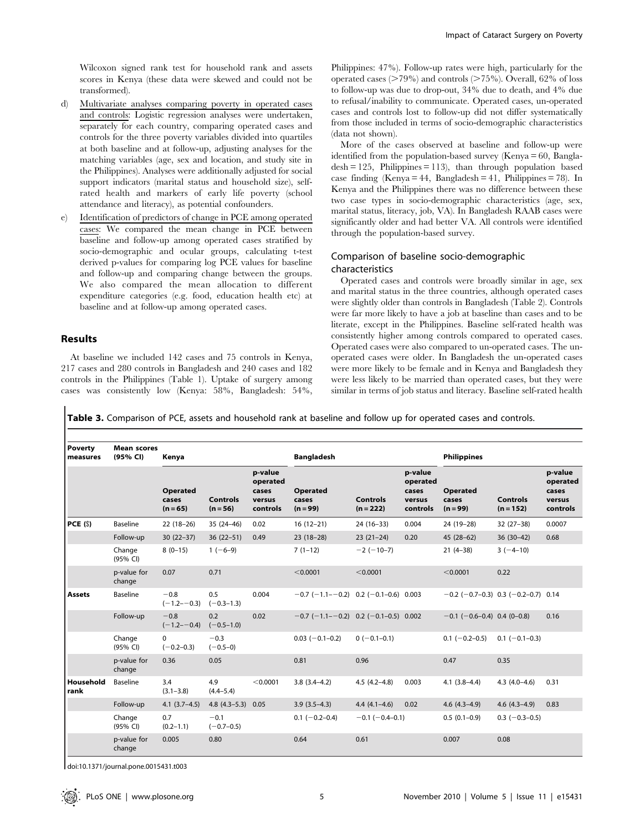Wilcoxon signed rank test for household rank and assets scores in Kenya (these data were skewed and could not be transformed).

- d) Multivariate analyses comparing poverty in operated cases and controls: Logistic regression analyses were undertaken, separately for each country, comparing operated cases and controls for the three poverty variables divided into quartiles at both baseline and at follow-up, adjusting analyses for the matching variables (age, sex and location, and study site in the Philippines). Analyses were additionally adjusted for social support indicators (marital status and household size), selfrated health and markers of early life poverty (school attendance and literacy), as potential confounders.
- Identification of predictors of change in PCE among operated cases: We compared the mean change in PCE between baseline and follow-up among operated cases stratified by socio-demographic and ocular groups, calculating t-test derived p-values for comparing log PCE values for baseline and follow-up and comparing change between the groups. We also compared the mean allocation to different expenditure categories (e.g. food, education health etc) at baseline and at follow-up among operated cases.

## Results

At baseline we included 142 cases and 75 controls in Kenya, 217 cases and 280 controls in Bangladesh and 240 cases and 182 controls in the Philippines (Table 1). Uptake of surgery among cases was consistently low (Kenya: 58%, Bangladesh: 54%,

Philippines: 47%). Follow-up rates were high, particularly for the operated cases ( $>79\%$ ) and controls ( $>75\%$ ). Overall, 62% of loss to follow-up was due to drop-out, 34% due to death, and 4% due to refusal/inability to communicate. Operated cases, un-operated cases and controls lost to follow-up did not differ systematically from those included in terms of socio-demographic characteristics (data not shown).

More of the cases observed at baseline and follow-up were identified from the population-based survey (Kenya = 60, Bangladesh = 125, Philippines = 113), than through population based case finding  $(Kenya = 44, Bangladesh = 41, Philippines = 78)$ . In Kenya and the Philippines there was no difference between these two case types in socio-demographic characteristics (age, sex, marital status, literacy, job, VA). In Bangladesh RAAB cases were significantly older and had better VA. All controls were identified through the population-based survey.

# Comparison of baseline socio-demographic characteristics

Operated cases and controls were broadly similar in age, sex and marital status in the three countries, although operated cases were slightly older than controls in Bangladesh (Table 2). Controls were far more likely to have a job at baseline than cases and to be literate, except in the Philippines. Baseline self-rated health was consistently higher among controls compared to operated cases. Operated cases were also compared to un-operated cases. The unoperated cases were older. In Bangladesh the un-operated cases were more likely to be female and in Kenya and Bangladesh they were less likely to be married than operated cases, but they were similar in terms of job status and literacy. Baseline self-rated health

Table 3. Comparison of PCE, assets and household rank at baseline and follow up for operated cases and controls.

| Poverty<br>measures | <b>Mean scores</b><br>(95% CI) | Kenya                           |                               |                                                    | <b>Bangladesh</b>                       |                                |                                                    | <b>Philippines</b>                    |                                |                                                    |
|---------------------|--------------------------------|---------------------------------|-------------------------------|----------------------------------------------------|-----------------------------------------|--------------------------------|----------------------------------------------------|---------------------------------------|--------------------------------|----------------------------------------------------|
|                     |                                | Operated<br>cases<br>$(n = 65)$ | <b>Controls</b><br>$(n = 56)$ | p-value<br>operated<br>cases<br>versus<br>controls | Operated<br>cases<br>$(n = 99)$         | <b>Controls</b><br>$(n = 222)$ | p-value<br>operated<br>cases<br>versus<br>controls | Operated<br>cases<br>$(n = 99)$       | <b>Controls</b><br>$(n = 152)$ | p-value<br>operated<br>cases<br>versus<br>controls |
| PCE(S)              | Baseline                       | $22(18-26)$                     | $35(24-46)$                   | 0.02                                               | $16(12-21)$                             | $24(16-33)$                    | 0.004                                              | 24 (19-28)                            | $32(27-38)$                    | 0.0007                                             |
|                     | Follow-up                      | $30(22-37)$                     | $36(22-51)$                   | 0.49                                               | $23(18-28)$                             | $23(21-24)$                    | 0.20                                               | $45(28-62)$                           | $36(30-42)$                    | 0.68                                               |
|                     | Change<br>(95% CI)             | $8(0-15)$                       | $1(-6-9)$                     |                                                    | $7(1-12)$                               | $-2(-10-7)$                    |                                                    | $21(4-38)$                            | $3(-4-10)$                     |                                                    |
|                     | p-value for<br>change          | 0.07                            | 0.71                          |                                                    | < 0.0001                                | < 0.0001                       |                                                    | < 0.0001                              | 0.22                           |                                                    |
| <b>Assets</b>       | Baseline                       | $-0.8$<br>$(-1.2 - -0.3)$       | 0.5<br>$(-0.3-1.3)$           | 0.004                                              | $-0.7$ (-1.1--0.2) 0.2 (-0.1-0.6) 0.003 |                                |                                                    | $-0.2$ (-0.7-0.3) 0.3 (-0.2-0.7) 0.14 |                                |                                                    |
|                     | Follow-up                      | $-0.8$<br>$(-1.2 - -0.4)$       | 0.2<br>$(-0.5-1.0)$           | 0.02                                               | $-0.7$ (-1.1--0.2) 0.2 (-0.1-0.5) 0.002 |                                |                                                    | $-0.1$ (-0.6-0.4) 0.4 (0-0.8)         |                                | 0.16                                               |
|                     | Change<br>(95% CI)             | $\Omega$<br>$(-0.2 - 0.3)$      | $-0.3$<br>$(-0.5-0)$          |                                                    | $0.03 (-0.1 - 0.2)$                     | $0 (-0.1 - 0.1)$               |                                                    | $0.1$ (-0.2-0.5)                      | $0.1$ (-0.1-0.3)               |                                                    |
|                     | p-value for<br>change          | 0.36                            | 0.05                          |                                                    | 0.81                                    | 0.96                           |                                                    | 0.47                                  | 0.35                           |                                                    |
| Household<br>rank   | Baseline                       | 3.4<br>$(3.1 - 3.8)$            | 4.9<br>$(4.4 - 5.4)$          | < 0.0001                                           | $3.8(3.4-4.2)$                          | $4.5(4.2 - 4.8)$               | 0.003                                              | $4.1(3.8-4.4)$                        | $4.3(4.0-4.6)$                 | 0.31                                               |
|                     | Follow-up                      | $4.1(3.7-4.5)$                  | $4.8(4.3-5.3)$ 0.05           |                                                    | $3.9(3.5-4.3)$                          | $4.4(4.1-4.6)$                 | 0.02                                               | $4.6(4.3-4.9)$                        | $4.6(4.3-4.9)$                 | 0.83                                               |
|                     | Change<br>(95% CI)             | 0.7<br>$(0.2 - 1.1)$            | $-0.1$<br>$(-0.7-0.5)$        |                                                    | $0.1$ (-0.2-0.4)                        | $-0.1$ ( $-0.4-0.1$ )          |                                                    | $0.5(0.1-0.9)$                        | $0.3$ (-0.3-0.5)               |                                                    |
|                     | p-value for<br>change          | 0.005                           | 0.80                          |                                                    | 0.64                                    | 0.61                           |                                                    | 0.007                                 | 0.08                           |                                                    |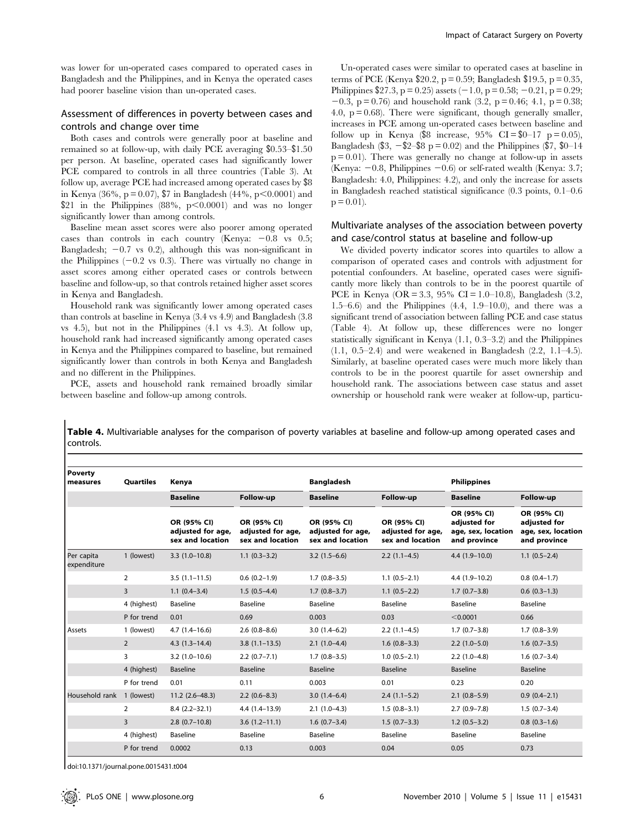was lower for un-operated cases compared to operated cases in Bangladesh and the Philippines, and in Kenya the operated cases had poorer baseline vision than un-operated cases.

# Assessment of differences in poverty between cases and controls and change over time

Both cases and controls were generally poor at baseline and remained so at follow-up, with daily PCE averaging \$0.53–\$1.50 per person. At baseline, operated cases had significantly lower PCE compared to controls in all three countries (Table 3). At follow up, average PCE had increased among operated cases by \$8 in Kenya (36%, p = 0.07),  $\ $7$  in Bangladesh (44%, p < 0.0001) and \$21 in the Philippines  $(88\%, p<0.0001)$  and was no longer significantly lower than among controls.

Baseline mean asset scores were also poorer among operated cases than controls in each country (Kenya:  $-0.8$  vs 0.5; Bangladesh;  $-0.7$  vs 0.2), although this was non-significant in the Philippines  $(-0.2 \text{ vs } 0.3)$ . There was virtually no change in asset scores among either operated cases or controls between baseline and follow-up, so that controls retained higher asset scores in Kenya and Bangladesh.

Household rank was significantly lower among operated cases than controls at baseline in Kenya (3.4 vs 4.9) and Bangladesh (3.8 vs 4.5), but not in the Philippines (4.1 vs 4.3). At follow up, household rank had increased significantly among operated cases in Kenya and the Philippines compared to baseline, but remained significantly lower than controls in both Kenya and Bangladesh and no different in the Philippines.

PCE, assets and household rank remained broadly similar between baseline and follow-up among controls.

Un-operated cases were similar to operated cases at baseline in terms of PCE (Kenya  $20.2$ , p = 0.59; Bangladesh  $19.5$ , p = 0.35, Philippines  $$27.3, p = 0.25$ ) assets  $(-1.0, p = 0.58; -0.21, p = 0.29;$  $-0.3$ , p = 0.76) and household rank (3.2, p = 0.46; 4.1, p = 0.38; 4.0,  $p = 0.68$ ). There were significant, though generally smaller, increases in PCE among un-operated cases between baseline and follow up in Kenya (\$8 increase,  $95\%$  CI = \$0–17 p = 0.05), Bangladesh (\$3,  $-\$2-\$8$  p = 0.02) and the Philippines (\$7, \$0-14  $p = 0.01$ ). There was generally no change at follow-up in assets (Kenya:  $-0.8$ , Philippines  $-0.6$ ) or self-rated wealth (Kenya: 3.7; Bangladesh: 4.0, Philippines: 4.2), and only the increase for assets in Bangladesh reached statistical significance (0.3 points, 0.1–0.6  $p = 0.01$ .

# Multivariate analyses of the association between poverty and case/control status at baseline and follow-up

We divided poverty indicator scores into quartiles to allow a comparison of operated cases and controls with adjustment for potential confounders. At baseline, operated cases were significantly more likely than controls to be in the poorest quartile of PCE in Kenya (OR = 3.3, 95% CI = 1.0–10.8), Bangladesh (3.2, 1.5–6.6) and the Philippines (4.4, 1.9–10.0), and there was a significant trend of association between falling PCE and case status (Table 4). At follow up, these differences were no longer statistically significant in Kenya (1.1, 0.3–3.2) and the Philippines (1.1, 0.5–2.4) and were weakened in Bangladesh (2.2, 1.1–4.5). Similarly, at baseline operated cases were much more likely than controls to be in the poorest quartile for asset ownership and household rank. The associations between case status and asset ownership or household rank were weaker at follow-up, particu-

Table 4. Multivariable analyses for the comparison of poverty variables at baseline and follow-up among operated cases and controls.

| <b>Poverty</b><br>measures | <b>Quartiles</b> | Kenya                                                |                                                      | <b>Bangladesh</b>                                    |                                                      | <b>Philippines</b>                                                |                                                                   |
|----------------------------|------------------|------------------------------------------------------|------------------------------------------------------|------------------------------------------------------|------------------------------------------------------|-------------------------------------------------------------------|-------------------------------------------------------------------|
|                            |                  | <b>Baseline</b>                                      | Follow-up                                            | <b>Baseline</b>                                      | Follow-up                                            | <b>Baseline</b>                                                   | Follow-up                                                         |
|                            |                  | OR (95% CI)<br>adjusted for age,<br>sex and location | OR (95% CI)<br>adjusted for age,<br>sex and location | OR (95% CI)<br>adjusted for age,<br>sex and location | OR (95% CI)<br>adjusted for age,<br>sex and location | OR (95% CI)<br>adjusted for<br>age, sex, location<br>and province | OR (95% CI)<br>adjusted for<br>age, sex, location<br>and province |
| Per capita<br>expenditure  | 1 (lowest)       | $3.3(1.0-10.8)$                                      | $1.1(0.3-3.2)$                                       | $3.2(1.5-6.6)$                                       | $2.2(1.1-4.5)$                                       | $4.4(1.9-10.0)$                                                   | $1.1(0.5-2.4)$                                                    |
|                            | $\overline{2}$   | $3.5(1.1 - 11.5)$                                    | $0.6(0.2-1.9)$                                       | $1.7(0.8-3.5)$                                       | $1.1(0.5-2.1)$                                       | $4.4(1.9-10.2)$                                                   | $0.8(0.4-1.7)$                                                    |
|                            | $\overline{3}$   | $1.1(0.4-3.4)$                                       | $1.5(0.5-4.4)$                                       | $1.7(0.8-3.7)$                                       | $1.1(0.5-2.2)$                                       | $1.7(0.7-3.8)$                                                    | $0.6(0.3-1.3)$                                                    |
|                            | 4 (highest)      | Baseline                                             | Baseline                                             | Baseline                                             | <b>Baseline</b>                                      | Baseline                                                          | Baseline                                                          |
|                            | P for trend      | 0.01                                                 | 0.69                                                 | 0.003                                                | 0.03                                                 | < 0.0001                                                          | 0.66                                                              |
| Assets                     | 1 (lowest)       | $4.7(1.4 - 16.6)$                                    | $2.6(0.8-8.6)$                                       | $3.0(1.4-6.2)$                                       | $2.2(1.1-4.5)$                                       | $1.7(0.7-3.8)$                                                    | $1.7(0.8-3.9)$                                                    |
|                            | $\overline{2}$   | $4.3(1.3-14.4)$                                      | $3.8(1.1-13.5)$                                      | $2.1(1.0-4.4)$                                       | $1.6(0.8-3.3)$                                       | $2.2(1.0-5.0)$                                                    | $1.6(0.7-3.5)$                                                    |
|                            | 3                | $3.2(1.0-10.6)$                                      | $2.2(0.7 - 7.1)$                                     | $1.7(0.8-3.5)$                                       | $1.0(0.5-2.1)$                                       | $2.2(1.0-4.8)$                                                    | $1.6(0.7-3.4)$                                                    |
|                            | 4 (highest)      | <b>Baseline</b>                                      | <b>Baseline</b>                                      | <b>Baseline</b>                                      | <b>Baseline</b>                                      | <b>Baseline</b>                                                   | <b>Baseline</b>                                                   |
|                            | P for trend      | 0.01                                                 | 0.11                                                 | 0.003                                                | 0.01                                                 | 0.23                                                              | 0.20                                                              |
| Household rank             | 1 (lowest)       | $11.2(2.6-48.3)$                                     | $2.2(0.6-8.3)$                                       | $3.0(1.4-6.4)$                                       | $2.4(1.1-5.2)$                                       | $2.1(0.8-5.9)$                                                    | $0.9(0.4-2.1)$                                                    |
|                            | $\overline{2}$   | $8.4(2.2 - 32.1)$                                    | $4.4(1.4-13.9)$                                      | $2.1(1.0-4.3)$                                       | $1.5(0.8-3.1)$                                       | $2.7(0.9 - 7.8)$                                                  | $1.5(0.7-3.4)$                                                    |
|                            | 3                | $2.8(0.7-10.8)$                                      | $3.6(1.2 - 11.1)$                                    | $1.6(0.7-3.4)$                                       | $1.5(0.7-3.3)$                                       | $1.2(0.5-3.2)$                                                    | $0.8(0.3-1.6)$                                                    |
|                            | 4 (highest)      | Baseline                                             | Baseline                                             | Baseline                                             | <b>Baseline</b>                                      | Baseline                                                          | Baseline                                                          |
|                            | P for trend      | 0.0002                                               | 0.13                                                 | 0.003                                                | 0.04                                                 | 0.05                                                              | 0.73                                                              |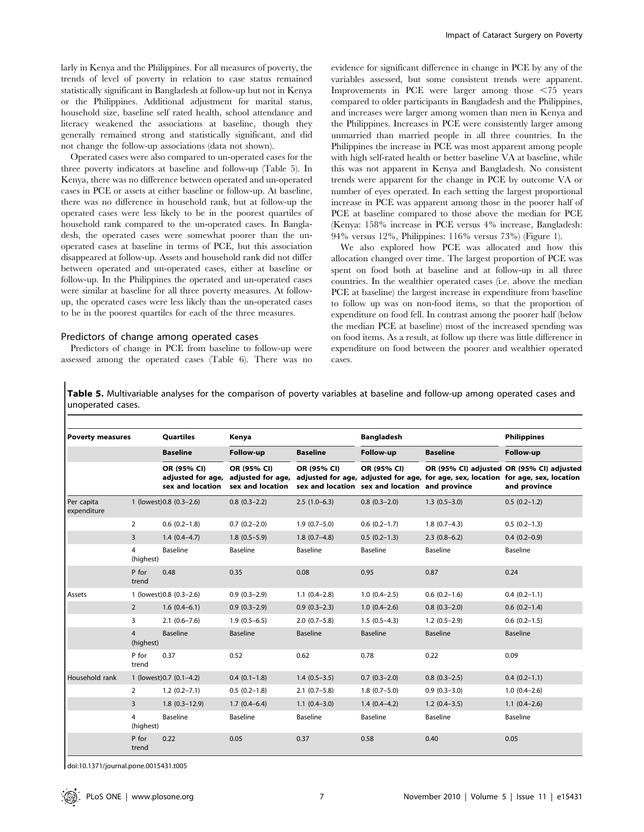larly in Kenya and the Philippines. For all measures of poverty, the trends of level of poverty in relation to case status remained statistically significant in Bangladesh at follow-up but not in Kenya or the Philippines. Additional adjustment for marital status, household size, baseline self rated health, school attendance and literacy weakened the associations at baseline, though they generally remained strong and statistically significant, and did not change the follow-up associations (data not shown).

Operated cases were also compared to un-operated cases for the three poverty indicators at baseline and follow-up (Table 5). In Kenya, there was no difference between operated and un-operated cases in PCE or assets at either baseline or follow-up. At baseline, there was no difference in household rank, but at follow-up the operated cases were less likely to be in the poorest quartiles of household rank compared to the un-operated cases. In Bangladesh, the operated cases were somewhat poorer than the unoperated cases at baseline in terms of PCE, but this association disappeared at follow-up. Assets and household rank did not differ between operated and un-operated cases, either at baseline or follow-up. In the Philippines the operated and un-operated cases were similar at baseline for all three poverty measures. At followup, the operated cases were less likely than the un-operated cases to be in the poorest quartiles for each of the three measures.

#### Predictors of change among operated cases

Predictors of change in PCE from baseline to follow-up were assessed among the operated cases (Table 6). There was no evidence for significant difference in change in PCE by any of the variables assessed, but some consistent trends were apparent. Improvements in PCE were larger among those  $\leq 75$  years compared to older participants in Bangladesh and the Philippines, and increases were larger among women than men in Kenya and the Philippines. Increases in PCE were consistently larger among unmarried than married people in all three countries. In the Philippines the increase in PCE was most apparent among people with high self-rated health or better baseline VA at baseline, while this was not apparent in Kenya and Bangladesh. No consistent trends were apparent for the change in PCE by outcome VA or number of eyes operated. In each setting the largest proportional increase in PCE was apparent among those in the poorer half of PCE at baseline compared to those above the median for PCE (Kenya: 158% increase in PCE versus 4% increase, Bangladesh: 94% versus 12%, Philippines: 116% versus 73%) (Figure 1).

We also explored how PCE was allocated and how this allocation changed over time. The largest proportion of PCE was spent on food both at baseline and at follow-up in all three countries. In the wealthier operated cases (i.e. above the median PCE at baseline) the largest increase in expenditure from baseline to follow up was on non-food items, so that the proportion of expenditure on food fell. In contrast among the poorer half (below the median PCE at baseline) most of the increased spending was on food items. As a result, at follow up there was little difference in expenditure on food between the poorer and wealthier operated cases.

Table 5. Multivariable analyses for the comparison of poverty variables at baseline and follow-up among operated cases and unoperated cases.

| <b>Poverty measures</b>   |                             | <b>Quartiles</b>                                     | Kenya                                                |                 | <b>Bangladesh</b>                                             |                                                                                   | <b>Philippines</b>                                        |
|---------------------------|-----------------------------|------------------------------------------------------|------------------------------------------------------|-----------------|---------------------------------------------------------------|-----------------------------------------------------------------------------------|-----------------------------------------------------------|
|                           |                             | <b>Baseline</b>                                      | Follow-up                                            | <b>Baseline</b> | Follow-up                                                     | <b>Baseline</b>                                                                   | Follow-up                                                 |
|                           |                             | OR (95% CI)<br>adjusted for age,<br>sex and location | OR (95% CI)<br>adjusted for age,<br>sex and location | OR (95% CI)     | OR (95% CI)<br>sex and location sex and location and province | adjusted for age, adjusted for age, for age, sex, location for age, sex, location | OR (95% CI) adjusted OR (95% CI) adjusted<br>and province |
| Per capita<br>expenditure |                             | 1 (lowest) 0.8 (0.3-2.6)                             | $0.8(0.3-2.2)$                                       | $2.5(1.0-6.3)$  | $0.8(0.3-2.0)$                                                | $1.3(0.5-3.0)$                                                                    | $0.5(0.2-1.2)$                                            |
|                           | $\overline{2}$              | $0.6(0.2-1.8)$                                       | $0.7(0.2 - 2.0)$                                     | $1.9(0.7-5.0)$  | $0.6(0.2-1.7)$                                                | $1.8(0.7-4.3)$                                                                    | $0.5(0.2-1.3)$                                            |
|                           | $\overline{3}$              | $1.4(0.4-4.7)$                                       | $1.8(0.5-5.9)$                                       | $1.8(0.7-4.8)$  | $0.5(0.2-1.3)$                                                | $2.3(0.8-6.2)$                                                                    | $0.4(0.2-0.9)$                                            |
|                           | $\overline{4}$<br>(highest) | Baseline                                             | <b>Baseline</b>                                      | <b>Baseline</b> | Baseline                                                      | <b>Baseline</b>                                                                   | <b>Baseline</b>                                           |
|                           | P for<br>trend              | 0.48                                                 | 0.35                                                 | 0.08            | 0.95                                                          | 0.87                                                                              | 0.24                                                      |
| Assets                    |                             | 1 (lowest) 0.8 (0.3-2.6)                             | $0.9(0.3-2.9)$                                       | $1.1(0.4-2.8)$  | $1.0(0.4-2.5)$                                                | $0.6(0.2-1.6)$                                                                    | $0.4(0.2-1.1)$                                            |
|                           | $\overline{2}$              | $1.6(0.4-6.1)$                                       | $0.9(0.3-2.9)$                                       | $0.9(0.3-2.3)$  | $1.0(0.4-2.6)$                                                | $0.8(0.3-2.0)$                                                                    | $0.6(0.2-1.4)$                                            |
|                           | $\overline{3}$              | $2.1(0.6 - 7.6)$                                     | $1.9(0.5-6.5)$                                       | $2.0(0.7-5.8)$  | $1.5(0.5-4.3)$                                                | $1.2(0.5-2.9)$                                                                    | $0.6(0.2-1.5)$                                            |
|                           | $\overline{4}$<br>(highest) | <b>Baseline</b>                                      | <b>Baseline</b>                                      | <b>Baseline</b> | <b>Baseline</b>                                               | <b>Baseline</b>                                                                   | <b>Baseline</b>                                           |
|                           | P for<br>trend              | 0.37                                                 | 0.52                                                 | 0.62            | 0.78                                                          | 0.22                                                                              | 0.09                                                      |
| Household rank            |                             | 1 (lowest) 0.7 (0.1-4.2)                             | $0.4(0.1-1.8)$                                       | $1.4(0.5-3.5)$  | $0.7(0.3-2.0)$                                                | $0.8(0.3-2.5)$                                                                    | $0.4(0.2-1.1)$                                            |
|                           | $\overline{2}$              | $1.2(0.2 - 7.1)$                                     | $0.5(0.2-1.8)$                                       | $2.1(0.7-5.8)$  | $1.8(0.7-5.0)$                                                | $0.9(0.3 - 3.0)$                                                                  | $1.0(0.4-2.6)$                                            |
|                           | $\overline{3}$              | $1.8(0.3-12.9)$                                      | $1.7(0.4-6.4)$                                       | $1.1(0.4-3.0)$  | $1.4(0.4-4.2)$                                                | $1.2(0.4-3.5)$                                                                    | $1.1(0.4-2.6)$                                            |
|                           | $\overline{4}$<br>(highest) | Baseline                                             | <b>Baseline</b>                                      | <b>Baseline</b> | <b>Baseline</b>                                               | <b>Baseline</b>                                                                   | <b>Baseline</b>                                           |
|                           | P for<br>trend              | 0.22                                                 | 0.05                                                 | 0.37            | 0.58                                                          | 0.40                                                                              | 0.05                                                      |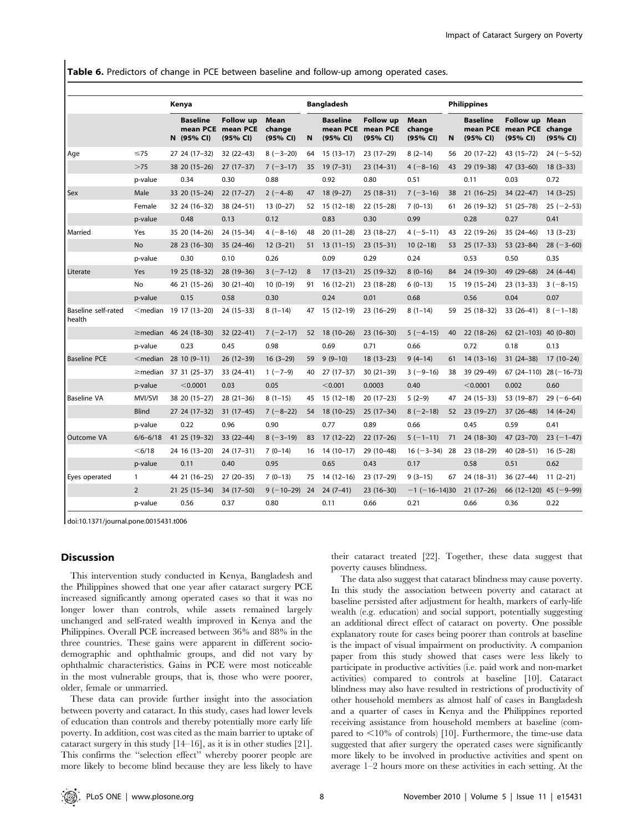Table 6. Predictors of change in PCE between baseline and follow-up among operated cases.

|                               |                | Kenva                                                                                                                                                                                                                                                                                                        |                                          |                            |    | <b>Bangladesh</b>           |                                                   |                            |    | <b>Philippines</b>                      |                                        |                          |
|-------------------------------|----------------|--------------------------------------------------------------------------------------------------------------------------------------------------------------------------------------------------------------------------------------------------------------------------------------------------------------|------------------------------------------|----------------------------|----|-----------------------------|---------------------------------------------------|----------------------------|----|-----------------------------------------|----------------------------------------|--------------------------|
|                               |                | <b>Baseline</b><br>mean PCE<br>N (95% CI)                                                                                                                                                                                                                                                                    | <b>Follow up</b><br>mean PCE<br>(95% CI) | Mean<br>change<br>(95% CI) | N. | <b>Baseline</b><br>(95% CI) | <b>Follow up</b><br>mean PCE mean PCE<br>(95% CI) | Mean<br>change<br>(95% CI) | N  | <b>Baseline</b><br>mean PCE<br>(95% CI) | Follow up Mean<br>mean PCE<br>(95% CI) | change<br>(95% CI)       |
| Age                           | $\leq 75$      | 27 24 (17-32)                                                                                                                                                                                                                                                                                                | $32(22-43)$                              | $8(-3-20)$                 | 64 | $15(13-17)$                 | 23 (17-29)                                        | $8(2-14)$                  | 56 | $20(17-22)$                             | 43 (15-72)                             | $24 (-5-52)$             |
|                               | >75            | 38 20 (15-26)                                                                                                                                                                                                                                                                                                | $27(17-37)$                              | $7(-3-17)$                 | 35 | $19(7-31)$                  | $23(14-31)$                                       | $4(-8-16)$                 | 43 | 29 (19 - 38)                            | $47(33-60)$                            | $18(3-33)$               |
|                               | p-value        | 0.34                                                                                                                                                                                                                                                                                                         | 0.30                                     | 0.88                       |    | 0.92                        | 0.80                                              | 0.51                       |    | 0.11                                    | 0.03                                   | 0.72                     |
| Sex                           | Male           | 33 20 (15-24)                                                                                                                                                                                                                                                                                                | $22(17-27)$                              | $2(-4-8)$                  | 47 | $18(9-27)$                  | $25(18-31)$                                       | $7(-3-16)$                 | 38 | $21(16-25)$                             | $34(22-47)$                            | $14(3-25)$               |
|                               | Female         | 32 24 (16-32)                                                                                                                                                                                                                                                                                                | $38(24-51)$                              | $13(0-27)$                 | 52 | $15(12-18)$                 | $22(15-28)$                                       | $7(0-13)$                  | 61 | 26 (19-32)                              | $51(25-78)$                            | $25 (-2-53)$             |
|                               | p-value        | 0.48                                                                                                                                                                                                                                                                                                         | 0.13                                     | 0.12                       |    | 0.83                        | 0.30                                              | 0.99                       |    | 0.28                                    | 0.27                                   | 0.41                     |
| Married                       | Yes            | 35 20 (14-26)                                                                                                                                                                                                                                                                                                | $24(15-34)$                              | $4(-8-16)$                 | 48 | $20(11-28)$                 | 23 (18-27)                                        | $4(-5-11)$                 | 43 | $22(19-26)$                             | 35 (24-46)                             | $13(3-23)$               |
|                               | <b>No</b>      | 28 23 (16-30)                                                                                                                                                                                                                                                                                                | $35(24-46)$                              | $12(3-21)$                 | 51 | $13(11-15)$                 | $23(15-31)$                                       | $10(2-18)$                 | 53 | $25(17-33)$                             | $53(23-84)$                            | $28 (-3-60)$             |
|                               | p-value        | 0.30                                                                                                                                                                                                                                                                                                         | 0.10                                     | 0.26                       |    | 0.09                        | 0.29                                              | 0.24                       |    | 0.53                                    | 0.50                                   | 0.35                     |
| Literate                      | Yes            | 19 25 (18-32)                                                                                                                                                                                                                                                                                                | 28 (19-36)                               | $3(-7-12)$                 | 8  | $17(13-21)$                 | $25(19-32)$                                       | $8(0-16)$                  | 84 | 24 (19-30)                              | 49 (29-68)                             | $24(4-44)$               |
|                               | No             | 46 21 (15-26)                                                                                                                                                                                                                                                                                                | $30(21-40)$                              | $10(0-19)$                 | 91 | $16(12-21)$                 | $23(18-28)$                                       | $6(0-13)$                  | 15 | 19 (15-24)                              | $23(13-33)$                            | $3(-8-15)$               |
|                               | p-value        | 0.15                                                                                                                                                                                                                                                                                                         | 0.58                                     | 0.30                       |    | 0.24                        | 0.01                                              | 0.68                       |    | 0.56                                    | 0.04                                   | 0.07                     |
| Baseline self-rated<br>health |                | <median (13-20)<="" 17="" 19="" td=""><td><math>24(15-33)</math></td><td><math>8(1-14)</math></td><td>47</td><td><math>15(12-19)</math></td><td>23 (16-29)</td><td><math>8(1-14)</math></td><td>59</td><td><math>25(18-32)</math></td><td><math>33(26-41)</math></td><td><math>8(-1-18)</math></td></median> | $24(15-33)$                              | $8(1-14)$                  | 47 | $15(12-19)$                 | 23 (16-29)                                        | $8(1-14)$                  | 59 | $25(18-32)$                             | $33(26-41)$                            | $8(-1-18)$               |
|                               |                | $\geq$ median 46 24 (18-30)                                                                                                                                                                                                                                                                                  | $32(22-41)$                              | $7(-2-17)$                 |    | $52 \quad 18(10-26)$        | $23(16-30)$                                       | $5(-4-15)$                 | 40 | $22(18-26)$                             | $62(21-103)$ 40 $(0-80)$               |                          |
|                               | p-value        | 0.23                                                                                                                                                                                                                                                                                                         | 0.45                                     | 0.98                       |    | 0.69                        | 0.71                                              | 0.66                       |    | 0.72                                    | 0.18                                   | 0.13                     |
| <b>Baseline PCE</b>           |                | $\leq$ median 28 10 (9-11)                                                                                                                                                                                                                                                                                   | 26 (12-39)                               | $16(3-29)$                 | 59 | $9(9-10)$                   | $18(13-23)$                                       | $9(4-14)$                  | 61 | $14(13-16)$                             | $31(24-38)$                            | $17(10-24)$              |
|                               |                | $\geq$ median 37 31 (25-37)                                                                                                                                                                                                                                                                                  | $33(24-41)$                              | $1(-7-9)$                  | 40 | $27(17-37)$                 | $30(21-39)$                                       | $3(-9-16)$                 | 38 | 39 (29-49)                              |                                        | $67(24-110)$ 28 (-16-73) |
|                               | p-value        | < 0.0001                                                                                                                                                                                                                                                                                                     | 0.03                                     | 0.05                       |    | < 0.001                     | 0.0003                                            | 0.40                       |    | < 0.0001                                | 0.002                                  | 0.60                     |
| <b>Baseline VA</b>            | MVI/SVI        | 38 20 (15-27)                                                                                                                                                                                                                                                                                                | $28(21-36)$                              | $8(1-15)$                  | 45 | $15(12-18)$                 | $20(17-23)$                                       | $5(2-9)$                   | 47 | 24 (15-33)                              | 53 (19-87)                             | $29(-6-64)$              |
|                               | <b>Blind</b>   | 27 24 (17-32)                                                                                                                                                                                                                                                                                                | $31(17-45)$                              | $7(-8-22)$                 | 54 | $18(10-25)$                 | $25(17-34)$                                       | $8(-2-18)$                 | 52 | $23(19-27)$                             | $37(26-48)$                            | $14(4-24)$               |
|                               | p-value        | 0.22                                                                                                                                                                                                                                                                                                         | 0.96                                     | 0.90                       |    | 0.77                        | 0.89                                              | 0.66                       |    | 0.45                                    | 0.59                                   | 0.41                     |
| Outcome VA                    | $6/6 - 6/18$   | 41 25 (19 - 32)                                                                                                                                                                                                                                                                                              | $33(22-44)$                              | $8(-3-19)$                 | 83 | $17(12-22)$                 | $22(17-26)$                                       | $5(-1-11)$                 | 71 | $24(18-30)$                             | $47(23 - 70)$                          | $23(-1-47)$              |
|                               | < 6/18         | 24 16 (13–20)                                                                                                                                                                                                                                                                                                | $24(17-31)$                              | $7(0-14)$                  | 16 | $14(10-17)$                 | 29 (10-48)                                        | $16(-3-34)$                | 28 | 23 (18-29)                              | $40(28-51)$                            | $16(5-28)$               |
|                               | p-value        | 0.11                                                                                                                                                                                                                                                                                                         | 0.40                                     | 0.95                       |    | 0.65                        | 0.43                                              | 0.17                       |    | 0.58                                    | 0.51                                   | 0.62                     |
| Eyes operated                 | $\mathbf{1}$   | 44 21 (16-25)                                                                                                                                                                                                                                                                                                | $27(20-35)$                              | $7(0-13)$                  | 75 | $14(12-16)$                 | $23(17-29)$                                       | $9(3-15)$                  | 67 | $24(18-31)$                             | 36 (27-44)                             | $11(2-21)$               |
|                               | $\overline{2}$ | 21 25 (15-34)                                                                                                                                                                                                                                                                                                | 34 (17-50)                               | $9(-10-29)$                | 24 | $24(7-41)$                  | $23(16-30)$                                       | $-1$ (-16-14)30            |    | $21(17-26)$                             |                                        | 66 (12-120) 45 (-9-99)   |
|                               | p-value        | 0.56                                                                                                                                                                                                                                                                                                         | 0.37                                     | 0.80                       |    | 0.11                        | 0.66                                              | 0.21                       |    | 0.66                                    | 0.36                                   | 0.22                     |

doi:10.1371/journal.pone.0015431.t006

#### Discussion

This intervention study conducted in Kenya, Bangladesh and the Philippines showed that one year after cataract surgery PCE increased significantly among operated cases so that it was no longer lower than controls, while assets remained largely unchanged and self-rated wealth improved in Kenya and the Philippines. Overall PCE increased between 36% and 88% in the three countries. These gains were apparent in different sociodemographic and ophthalmic groups, and did not vary by ophthalmic characteristics. Gains in PCE were most noticeable in the most vulnerable groups, that is, those who were poorer, older, female or unmarried.

These data can provide further insight into the association between poverty and cataract. In this study, cases had lower levels of education than controls and thereby potentially more early life poverty. In addition, cost was cited as the main barrier to uptake of cataract surgery in this study [14–16], as it is in other studies [21]. This confirms the ''selection effect'' whereby poorer people are more likely to become blind because they are less likely to have

their cataract treated [22]. Together, these data suggest that poverty causes blindness.

The data also suggest that cataract blindness may cause poverty. In this study the association between poverty and cataract at baseline persisted after adjustment for health, markers of early-life wealth (e.g. education) and social support, potentially suggesting an additional direct effect of cataract on poverty. One possible explanatory route for cases being poorer than controls at baseline is the impact of visual impairment on productivity. A companion paper from this study showed that cases were less likely to participate in productive activities (i.e. paid work and non-market activities) compared to controls at baseline [10]. Cataract blindness may also have resulted in restrictions of productivity of other household members as almost half of cases in Bangladesh and a quarter of cases in Kenya and the Philippines reported receiving assistance from household members at baseline (compared to  $\leq 10\%$  of controls) [10]. Furthermore, the time-use data suggested that after surgery the operated cases were significantly more likely to be involved in productive activities and spent on average 1–2 hours more on these activities in each setting. At the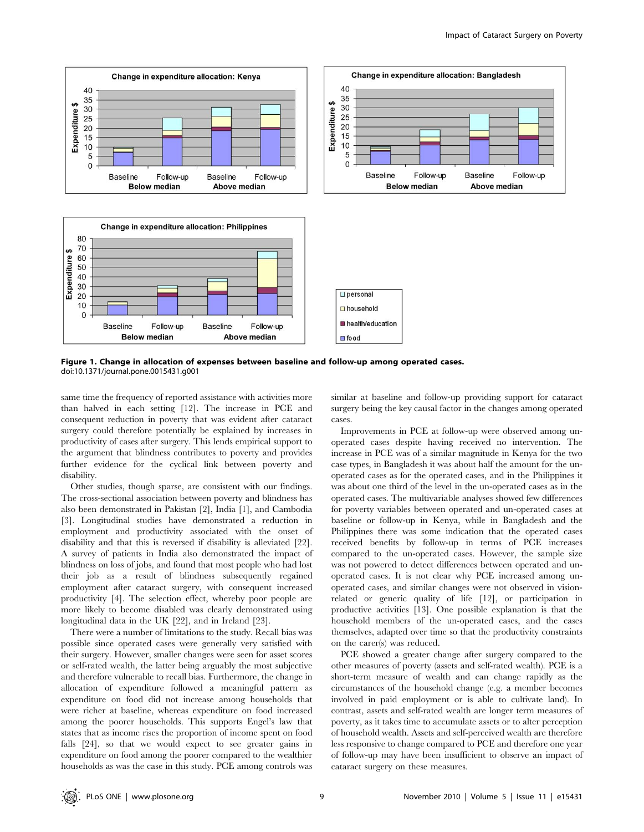Follow-up

**Baseline** 

Above median





Figure 1. Change in allocation of expenses between baseline and follow-up among operated cases. doi:10.1371/journal.pone.0015431.g001

same time the frequency of reported assistance with activities more than halved in each setting [12]. The increase in PCE and consequent reduction in poverty that was evident after cataract surgery could therefore potentially be explained by increases in productivity of cases after surgery. This lends empirical support to the argument that blindness contributes to poverty and provides further evidence for the cyclical link between poverty and disability.

Other studies, though sparse, are consistent with our findings. The cross-sectional association between poverty and blindness has also been demonstrated in Pakistan [2], India [1], and Cambodia [3]. Longitudinal studies have demonstrated a reduction in employment and productivity associated with the onset of disability and that this is reversed if disability is alleviated [22]. A survey of patients in India also demonstrated the impact of blindness on loss of jobs, and found that most people who had lost their job as a result of blindness subsequently regained employment after cataract surgery, with consequent increased productivity [4]. The selection effect, whereby poor people are more likely to become disabled was clearly demonstrated using longitudinal data in the UK [22], and in Ireland [23].

There were a number of limitations to the study. Recall bias was possible since operated cases were generally very satisfied with their surgery. However, smaller changes were seen for asset scores or self-rated wealth, the latter being arguably the most subjective and therefore vulnerable to recall bias. Furthermore, the change in allocation of expenditure followed a meaningful pattern as expenditure on food did not increase among households that were richer at baseline, whereas expenditure on food increased among the poorer households. This supports Engel's law that states that as income rises the proportion of income spent on food falls [24], so that we would expect to see greater gains in expenditure on food among the poorer compared to the wealthier households as was the case in this study. PCE among controls was similar at baseline and follow-up providing support for cataract surgery being the key causal factor in the changes among operated cases.

**Baseline** 

Follow-up

**Below median** 

Improvements in PCE at follow-up were observed among unoperated cases despite having received no intervention. The increase in PCE was of a similar magnitude in Kenya for the two case types, in Bangladesh it was about half the amount for the unoperated cases as for the operated cases, and in the Philippines it was about one third of the level in the un-operated cases as in the operated cases. The multivariable analyses showed few differences for poverty variables between operated and un-operated cases at baseline or follow-up in Kenya, while in Bangladesh and the Philippines there was some indication that the operated cases received benefits by follow-up in terms of PCE increases compared to the un-operated cases. However, the sample size was not powered to detect differences between operated and unoperated cases. It is not clear why PCE increased among unoperated cases, and similar changes were not observed in visionrelated or generic quality of life [12], or participation in productive activities [13]. One possible explanation is that the household members of the un-operated cases, and the cases themselves, adapted over time so that the productivity constraints on the carer(s) was reduced.

PCE showed a greater change after surgery compared to the other measures of poverty (assets and self-rated wealth). PCE is a short-term measure of wealth and can change rapidly as the circumstances of the household change (e.g. a member becomes involved in paid employment or is able to cultivate land). In contrast, assets and self-rated wealth are longer term measures of poverty, as it takes time to accumulate assets or to alter perception of household wealth. Assets and self-perceived wealth are therefore less responsive to change compared to PCE and therefore one year of follow-up may have been insufficient to observe an impact of cataract surgery on these measures.